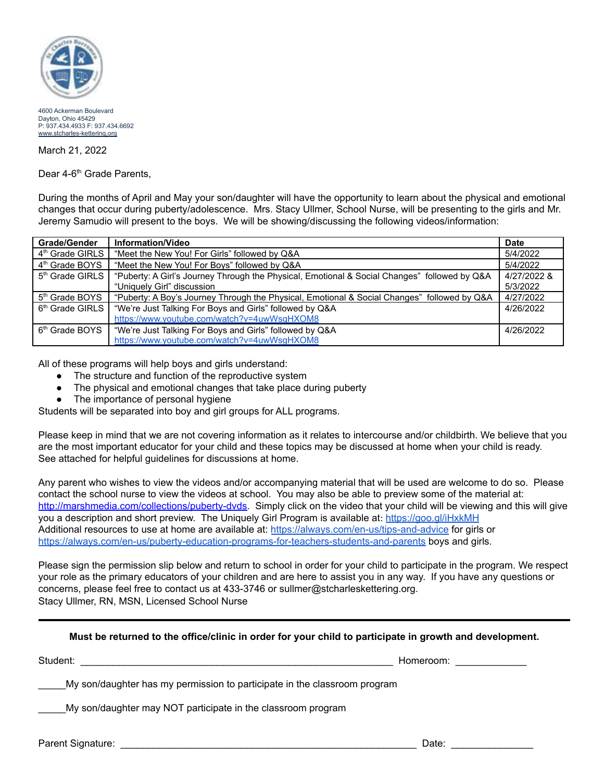

4600 Ackerman Boulevard Dayton, Ohio 45429 P: 937.434.4933 F: 937.434.6692 [www.stcharles-kettering.org](http://www.stcharles-kettering.org/)

March 21, 2022

Dear 4-6<sup>th</sup> Grade Parents,

During the months of April and May your son/daughter will have the opportunity to learn about the physical and emotional changes that occur during puberty/adolescence. Mrs. Stacy Ullmer, School Nurse, will be presenting to the girls and Mr. Jeremy Samudio will present to the boys. We will be showing/discussing the following videos/information:

| <b>Grade/Gender</b>         | Information/Video                                                                            | <b>Date</b> |
|-----------------------------|----------------------------------------------------------------------------------------------|-------------|
| 4 <sup>th</sup> Grade GIRLS | "Meet the New You! For Girls" followed by Q&A                                                | 5/4/2022    |
| 4 <sup>th</sup> Grade BOYS  | "Meet the New You! For Boys" followed by Q&A                                                 | 5/4/2022    |
| 5 <sup>th</sup> Grade GIRLS | "Puberty: A Girl's Journey Through the Physical, Emotional & Social Changes" followed by Q&A | 4/27/2022 & |
|                             | "Uniquely Girl" discussion                                                                   | 5/3/2022    |
| 5 <sup>th</sup> Grade BOYS  | "Puberty: A Boy's Journey Through the Physical, Emotional & Social Changes" followed by Q&A  | 4/27/2022   |
| 6 <sup>th</sup> Grade GIRLS | "We're Just Talking For Boys and Girls" followed by Q&A                                      | 4/26/2022   |
|                             | https://www.youtube.com/watch?v=4uwWsqHXOM8                                                  |             |
| 6 <sup>th</sup> Grade BOYS  | "We're Just Talking For Boys and Girls" followed by Q&A                                      | 4/26/2022   |
|                             | https://www.youtube.com/watch?v=4uwWsgHXOM8                                                  |             |

All of these programs will help boys and girls understand:

- The structure and function of the reproductive system
- The physical and emotional changes that take place during puberty
- The importance of personal hygiene

Students will be separated into boy and girl groups for ALL programs.

Please keep in mind that we are not covering information as it relates to intercourse and/or childbirth. We believe that you are the most important educator for your child and these topics may be discussed at home when your child is ready. See attached for helpful guidelines for discussions at home.

Any parent who wishes to view the videos and/or accompanying material that will be used are welcome to do so. Please contact the school nurse to view the videos at school. You may also be able to preview some of the material at: [http://marshmedia.com/collections/puberty-dvds.](http://marshmedia.com/collections/puberty-dvds) Simply click on the video that your child will be viewing and this will give you a description and short preview. The Uniquely Girl Program is available at: <https://goo.gl/iHxkMH> Additional resources to use at home are available at: <https://always.com/en-us/tips-and-advice> for girls or <https://always.com/en-us/puberty-education-programs-for-teachers-students-and-parents> boys and girls.

Please sign the permission slip below and return to school in order for your child to participate in the program. We respect your role as the primary educators of your children and are here to assist you in any way. If you have any questions or concerns, please feel free to contact us at 433-3746 or sullmer@stcharleskettering.org. Stacy Ullmer, RN, MSN, Licensed School Nurse

## **Must be returned to the office/clinic in order for your child to participate in growth and development.**

Student: 
Guidentic 
and the student of the student of the student of the student of the student of the student of the student of the student of the student of the student of the student of the student of the student of th

My son/daughter has my permission to participate in the classroom program

My son/daughter may NOT participate in the classroom program

Parent Signature: \_\_\_\_\_\_\_\_\_\_\_\_\_\_\_\_\_\_\_\_\_\_\_\_\_\_\_\_\_\_\_\_\_\_\_\_\_\_\_\_\_\_\_\_\_\_\_\_\_\_\_\_\_\_ Date: \_\_\_\_\_\_\_\_\_\_\_\_\_\_\_